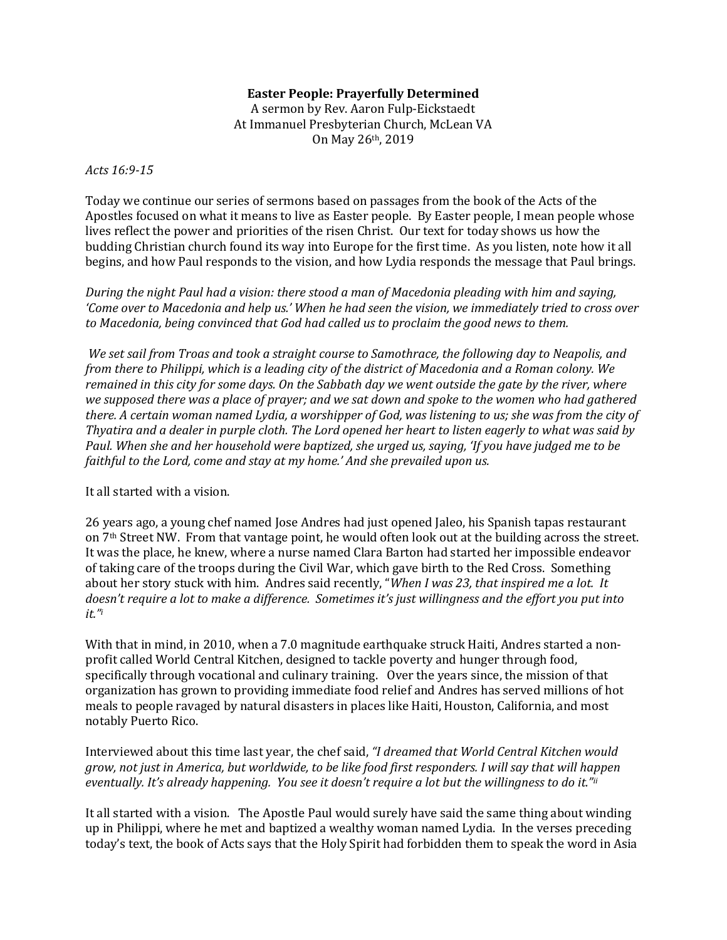## **Easter People: Prayerfully Determined**

A sermon by Rev. Aaron Fulp-Eickstaedt At Immanuel Presbyterian Church, McLean VA On May 26th, 2019

## *Acts 16:9-15*

Today we continue our series of sermons based on passages from the book of the Acts of the Apostles focused on what it means to live as Easter people. By Easter people, I mean people whose lives reflect the power and priorities of the risen Christ. Our text for today shows us how the budding Christian church found its way into Europe for the first time. As you listen, note how it all begins, and how Paul responds to the vision, and how Lydia responds the message that Paul brings.

*During the night Paul had a vision: there stood a man of Macedonia pleading with him and saying, 'Come over to Macedonia and help us.' When he had seen the vision, we immediately tried to cross over to Macedonia, being convinced that God had called us to proclaim the good news to them.* 

 *We set sail from Troas and took a straight course to Samothrace, the following day to Neapolis, and from there to Philippi, which is a leading city of the district of Macedonia and a Roman colony. We remained in this city for some days. On the Sabbath day we went outside the gate by the river, where we supposed there was a place of prayer; and we sat down and spoke to the women who had gathered there. A certain woman named Lydia, a worshipper of God, was listening to us; she was from the city of Thyatira and a dealer in purple cloth. The Lord opened her heart to listen eagerly to what was said by Paul. When she and her household were baptized, she urged us, saying, 'If you have judged me to be faithful to the Lord, come and stay at my home.' And she prevailed upon us.* 

It all started with a vision.

26 years ago, a young chef named Jose Andres had just opened Jaleo, his Spanish tapas restaurant on 7th Street NW. From that vantage point, he would often look out at the building across the street. It was the place, he knew, where a nurse named Clara Barton had started her impossible endeavor of taking care of the troops during the Civil War, which gave birth to the Red Cross. Something about her story stuck with him. Andres said recently, "*When I was 23, that inspired me a lot. It doesn't require a lot to make a difference. Sometimes it's just willingness and the effort you put into it."<sup>i</sup>*

With that in mind, in 2010, when a 7.0 magnitude earthquake struck Haiti, Andres started a nonprofit called World Central Kitchen, designed to tackle poverty and hunger through food, specifically through vocational and culinary training. Over the years since, the mission of that organization has grown to providing immediate food relief and Andres has served millions of hot meals to people ravaged by natural disasters in places like Haiti, Houston, California, and most notably Puerto Rico.

Interviewed about this time last year, the chef said, *"I dreamed that World Central Kitchen would grow, not just in America, but worldwide, to be like food first responders. I will say that will happen eventually. It's already happening. You see it doesn't require a lot but the willingness to do it."ii*

It all started with a vision. The Apostle Paul would surely have said the same thing about winding up in Philippi, where he met and baptized a wealthy woman named Lydia. In the verses preceding today's text, the book of Acts says that the Holy Spirit had forbidden them to speak the word in Asia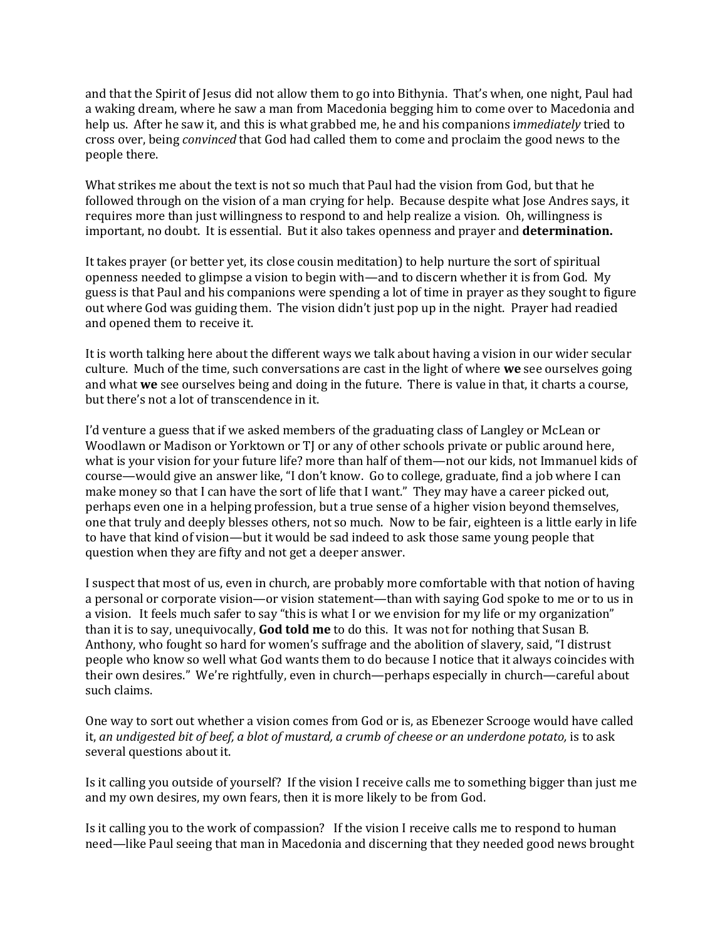and that the Spirit of Jesus did not allow them to go into Bithynia. That's when, one night, Paul had a waking dream, where he saw a man from Macedonia begging him to come over to Macedonia and help us. After he saw it, and this is what grabbed me, he and his companions i*mmediately* tried to cross over, being *convinced* that God had called them to come and proclaim the good news to the people there.

What strikes me about the text is not so much that Paul had the vision from God, but that he followed through on the vision of a man crying for help. Because despite what Jose Andres says, it requires more than just willingness to respond to and help realize a vision. Oh, willingness is important, no doubt. It is essential. But it also takes openness and prayer and **determination.** 

It takes prayer (or better yet, its close cousin meditation) to help nurture the sort of spiritual openness needed to glimpse a vision to begin with—and to discern whether it is from God. My guess is that Paul and his companions were spending a lot of time in prayer as they sought to figure out where God was guiding them. The vision didn't just pop up in the night. Prayer had readied and opened them to receive it.

It is worth talking here about the different ways we talk about having a vision in our wider secular culture. Much of the time, such conversations are cast in the light of where **we** see ourselves going and what **we** see ourselves being and doing in the future. There is value in that, it charts a course, but there's not a lot of transcendence in it.

I'd venture a guess that if we asked members of the graduating class of Langley or McLean or Woodlawn or Madison or Yorktown or TJ or any of other schools private or public around here, what is your vision for your future life? more than half of them—not our kids, not Immanuel kids of course—would give an answer like, "I don't know. Go to college, graduate, find a job where I can make money so that I can have the sort of life that I want." They may have a career picked out, perhaps even one in a helping profession, but a true sense of a higher vision beyond themselves, one that truly and deeply blesses others, not so much. Now to be fair, eighteen is a little early in life to have that kind of vision—but it would be sad indeed to ask those same young people that question when they are fifty and not get a deeper answer.

I suspect that most of us, even in church, are probably more comfortable with that notion of having a personal or corporate vision—or vision statement—than with saying God spoke to me or to us in a vision. It feels much safer to say "this is what I or we envision for my life or my organization" than it is to say, unequivocally, **God told me** to do this. It was not for nothing that Susan B. Anthony, who fought so hard for women's suffrage and the abolition of slavery, said, "I distrust people who know so well what God wants them to do because I notice that it always coincides with their own desires." We're rightfully, even in church—perhaps especially in church—careful about such claims.

One way to sort out whether a vision comes from God or is, as Ebenezer Scrooge would have called it, *an undigested bit of beef, a blot of mustard, a crumb of cheese or an underdone potato,* is to ask several questions about it.

Is it calling you outside of yourself? If the vision I receive calls me to something bigger than just me and my own desires, my own fears, then it is more likely to be from God.

Is it calling you to the work of compassion? If the vision I receive calls me to respond to human need—like Paul seeing that man in Macedonia and discerning that they needed good news brought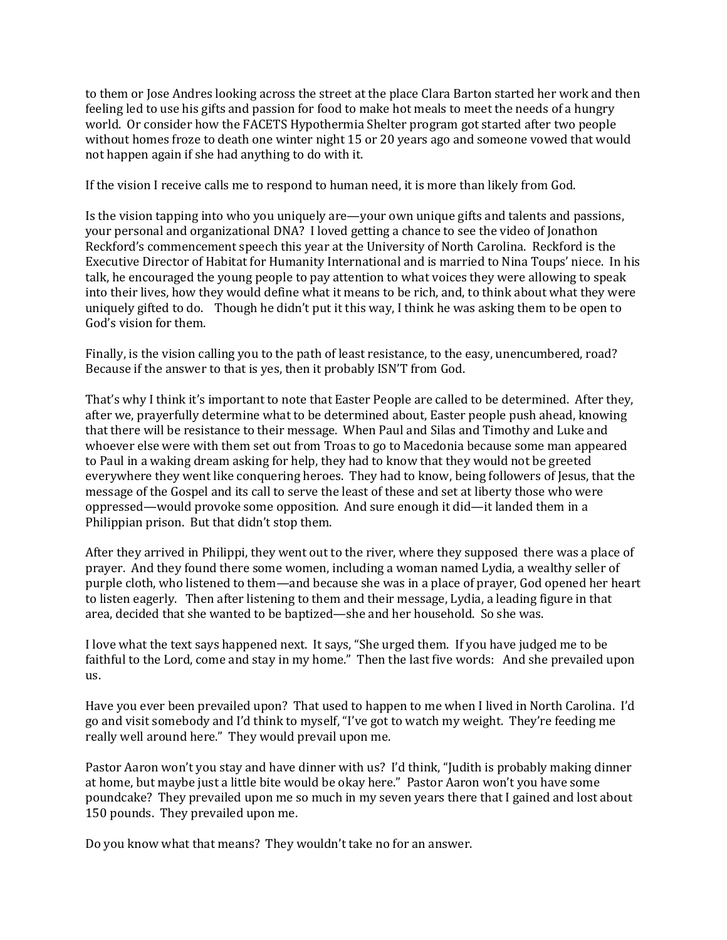to them or Jose Andres looking across the street at the place Clara Barton started her work and then feeling led to use his gifts and passion for food to make hot meals to meet the needs of a hungry world. Or consider how the FACETS Hypothermia Shelter program got started after two people without homes froze to death one winter night 15 or 20 years ago and someone vowed that would not happen again if she had anything to do with it.

If the vision I receive calls me to respond to human need, it is more than likely from God.

Is the vision tapping into who you uniquely are—your own unique gifts and talents and passions, your personal and organizational DNA? I loved getting a chance to see the video of Jonathon Reckford's commencement speech this year at the University of North Carolina. Reckford is the Executive Director of Habitat for Humanity International and is married to Nina Toups' niece. In his talk, he encouraged the young people to pay attention to what voices they were allowing to speak into their lives, how they would define what it means to be rich, and, to think about what they were uniquely gifted to do. Though he didn't put it this way, I think he was asking them to be open to God's vision for them.

Finally, is the vision calling you to the path of least resistance, to the easy, unencumbered, road? Because if the answer to that is yes, then it probably ISN'T from God.

That's why I think it's important to note that Easter People are called to be determined. After they, after we, prayerfully determine what to be determined about, Easter people push ahead, knowing that there will be resistance to their message. When Paul and Silas and Timothy and Luke and whoever else were with them set out from Troas to go to Macedonia because some man appeared to Paul in a waking dream asking for help, they had to know that they would not be greeted everywhere they went like conquering heroes. They had to know, being followers of Jesus, that the message of the Gospel and its call to serve the least of these and set at liberty those who were oppressed—would provoke some opposition. And sure enough it did—it landed them in a Philippian prison. But that didn't stop them.

After they arrived in Philippi, they went out to the river, where they supposed there was a place of prayer. And they found there some women, including a woman named Lydia, a wealthy seller of purple cloth, who listened to them—and because she was in a place of prayer, God opened her heart to listen eagerly. Then after listening to them and their message, Lydia, a leading figure in that area, decided that she wanted to be baptized—she and her household. So she was.

I love what the text says happened next. It says, "She urged them. If you have judged me to be faithful to the Lord, come and stay in my home." Then the last five words: And she prevailed upon us.

Have you ever been prevailed upon? That used to happen to me when I lived in North Carolina. I'd go and visit somebody and I'd think to myself, "I've got to watch my weight. They're feeding me really well around here." They would prevail upon me.

Pastor Aaron won't you stay and have dinner with us? I'd think, "Judith is probably making dinner at home, but maybe just a little bite would be okay here." Pastor Aaron won't you have some poundcake? They prevailed upon me so much in my seven years there that I gained and lost about 150 pounds. They prevailed upon me.

Do you know what that means? They wouldn't take no for an answer.